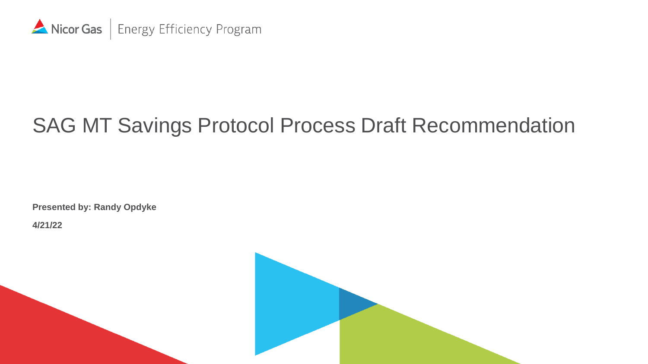

# SAG MT Savings Protocol Process Draft Recommendation

**Presented by: Randy Opdyke**

**4/21/22**

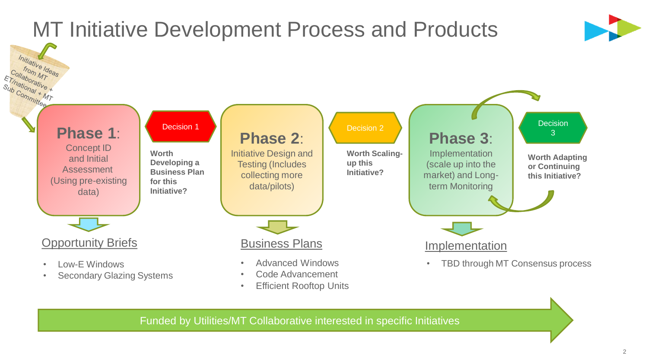

Funded by Utilities/MT Collaborative interested in specific Initiatives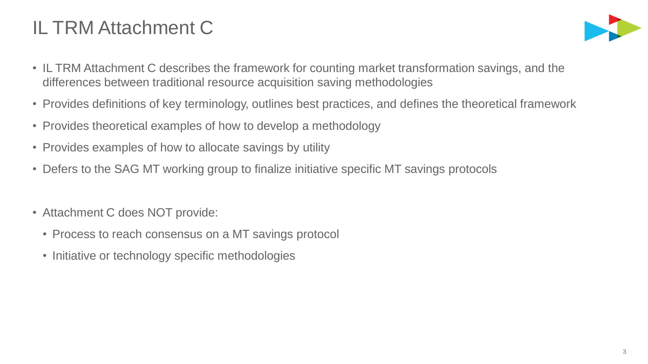## IL TRM Attachment C



- IL TRM Attachment C describes the framework for counting market transformation savings, and the differences between traditional resource acquisition saving methodologies
- Provides definitions of key terminology, outlines best practices, and defines the theoretical framework
- Provides theoretical examples of how to develop a methodology
- Provides examples of how to allocate savings by utility
- Defers to the SAG MT working group to finalize initiative specific MT savings protocols
- Attachment C does NOT provide:
	- Process to reach consensus on a MT savings protocol
	- Initiative or technology specific methodologies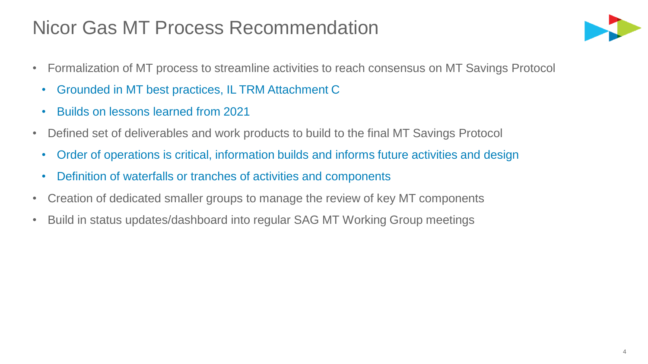### Nicor Gas MT Process Recommendation



- Formalization of MT process to streamline activities to reach consensus on MT Savings Protocol
	- Grounded in MT best practices, IL TRM Attachment C
	- Builds on lessons learned from 2021
- Defined set of deliverables and work products to build to the final MT Savings Protocol
	- Order of operations is critical, information builds and informs future activities and design
	- Definition of waterfalls or tranches of activities and components
- Creation of dedicated smaller groups to manage the review of key MT components
- Build in status updates/dashboard into regular SAG MT Working Group meetings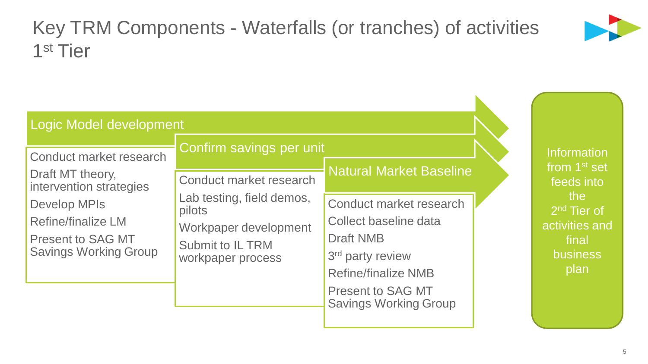## Key TRM Components - Waterfalls (or tranches) of activities 1 st Tier



| Confirm savings per unit<br>Conduct market research<br><b>Natural Market Baseline</b><br>Draft MT theory,<br>Conduct market research<br>intervention strategies<br>Lab testing, field demos,<br>Conduct market research<br><b>Develop MPIs</b><br>pilots<br>Collect baseline data<br><b>Refine/finalize LM</b><br>Workpaper development<br><b>Draft NMB</b><br><b>Present to SAG MT</b><br>Submit to IL TRM<br><b>Savings Working Group</b><br>3 <sup>rd</sup> party review<br>workpaper process<br><b>Refine/finalize NMB</b> | Logic Model development |  |                                                                                             |
|--------------------------------------------------------------------------------------------------------------------------------------------------------------------------------------------------------------------------------------------------------------------------------------------------------------------------------------------------------------------------------------------------------------------------------------------------------------------------------------------------------------------------------|-------------------------|--|---------------------------------------------------------------------------------------------|
|                                                                                                                                                                                                                                                                                                                                                                                                                                                                                                                                |                         |  | <b>Information</b><br>from 1 <sup>st</sup> set                                              |
| <b>Present to SAG MT</b>                                                                                                                                                                                                                                                                                                                                                                                                                                                                                                       |                         |  | feeds into<br>the<br>2 <sup>nd</sup> Tier of<br>activities and<br>final<br>business<br>plan |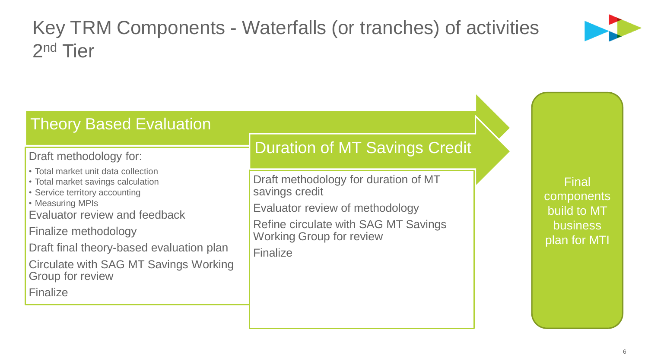## Key TRM Components - Waterfalls (or tranches) of activities 2<sup>nd</sup> Tier



### Theory Based Evaluation

#### Draft methodology for:

- Total market unit data collection
- Total market savings calculation
- Service territory accounting
- Measuring MPIs

Evaluator review and feedback

Finalize methodology

Draft final theory-based evaluation plan

Circulate with SAG MT Savings Working Group for review

Finalize

### Duration of MT Savings Credit

Draft methodology for duration of MT savings credit

Evaluator review of methodology

Refine circulate with SAG MT Savings Working Group for review

Finalize

Final components build to MT business plan for MTI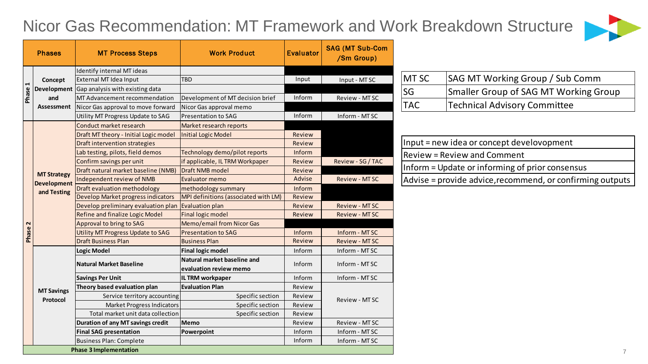### Nicor Gas Recommendation: MT Framework and Work Breakdown Structure



|        | <b>Phases</b>                                           | <b>MT Process Steps</b>                                         | <b>Work Product</b>                                   | <b>Evaluator</b> | <b>SAG (MT Sub-Com</b><br>/Sm Group) |            |                                                           |
|--------|---------------------------------------------------------|-----------------------------------------------------------------|-------------------------------------------------------|------------------|--------------------------------------|------------|-----------------------------------------------------------|
|        | Concept<br>and<br>Assessment                            | Identify internal MT ideas                                      |                                                       |                  |                                      | MT SC      |                                                           |
|        |                                                         | External MT Idea Input                                          | TBD                                                   | Input            | Input - MT SC                        |            | SAG MT Working Group / Sub Comm                           |
| Phase  |                                                         | Development Gap analysis with existing data                     |                                                       |                  |                                      | SG         | Smaller Group of SAG MT Working Group                     |
|        |                                                         | MT Advancement recommendation                                   | Development of MT decision brief                      | Inform           | Review - MT SC                       | <b>TAC</b> | <b>Technical Advisory Committee</b>                       |
|        |                                                         | Nicor Gas approval to move forward                              | Nicor Gas approval memo                               | Inform           |                                      |            |                                                           |
|        |                                                         | Utility MT Progress Update to SAG                               | Presentation to SAG                                   |                  | Inform - MTSC                        |            |                                                           |
|        |                                                         | Conduct market research                                         | Market research reports                               |                  |                                      |            |                                                           |
|        |                                                         | Draft MT theory - Initial Logic model                           | <b>Initial Logic Model</b>                            | Review           |                                      |            | Input = new idea or concept develovopment                 |
|        |                                                         | Draft intervention strategies                                   |                                                       | Review           |                                      |            |                                                           |
|        |                                                         | Lab testing, pilots, field demos                                | Technology demo/pilot reports                         | Inform           |                                      |            | <b>Review = Review and Comment</b>                        |
|        |                                                         | Confirm savings per unit<br>Draft natural market baseline (NMB) | if applicable, IL TRM Workpaper<br>Draft NMB model    | Review<br>Review | Review - SG / TAC                    |            | Inform = Update or informing of prior consensus           |
|        | <b>MT Strategy</b><br><b>Development</b><br>and Testing | Independent review of NMB                                       | <b>Evaluator memo</b>                                 | Advise           | <b>Review - MTSC</b>                 |            |                                                           |
|        |                                                         | Draft evaluation methodology                                    | methodology summary                                   | Inform           |                                      |            | Advise = provide advice, recommend, or confirming outputs |
|        |                                                         | Develop Market progress indicators                              | MPI definitions (associated with LM)                  | Review           |                                      |            |                                                           |
|        |                                                         | Develop preliminary evaluation plan                             | Evaluation plan                                       | Review           | <b>Review - MTSC</b>                 |            |                                                           |
|        |                                                         | Refine and finalize Logic Model                                 | <b>Final logic model</b>                              | Review           | <b>Review - MTSC</b>                 |            |                                                           |
| $\sim$ |                                                         | Approval to bring to SAG                                        | <b>Memo/email from Nicor Gas</b>                      |                  |                                      |            |                                                           |
| Phase  |                                                         | Utility MT Progress Update to SAG                               | <b>Presentation to SAG</b>                            | Inform           | Inform - MTSC                        |            |                                                           |
|        |                                                         | <b>Draft Business Plan</b>                                      | <b>Business Plan</b>                                  | Review           | <b>Review - MTSC</b>                 |            |                                                           |
|        |                                                         | <b>Logic Model</b>                                              | <b>Final logic model</b>                              | Inform           | Inform - MTSC                        |            |                                                           |
|        |                                                         | <b>Natural Market Baseline</b>                                  | Natural market baseline and<br>evaluation review memo | Inform           | Inform - MT SC                       |            |                                                           |
|        |                                                         | <b>Savings Per Unit</b>                                         | <b>IL TRM workpaper</b>                               | Inform           | Inform - MTSC                        |            |                                                           |
|        |                                                         | Theory based evaluation plan                                    | <b>Evaluation Plan</b>                                | Review           |                                      |            |                                                           |
|        | <b>MT Savings</b><br>Protocol                           | Service territory accounting                                    | Specific section                                      | Review           | Review - MT SC                       |            |                                                           |
|        |                                                         | <b>Market Progress Indicators</b>                               | Specific section                                      | Review           |                                      |            |                                                           |
|        |                                                         | Total market unit data collection                               | Specific section                                      | Review           |                                      |            |                                                           |
|        |                                                         | Duration of any MT savings credit                               | Memo                                                  | Review           | Review - MT SC                       |            |                                                           |
|        |                                                         | <b>Final SAG presentation</b>                                   | Powerpoint                                            | Inform           | Inform - MTSC                        |            |                                                           |
|        |                                                         | Business Plan: Complete                                         |                                                       | Inform           | Inform - MTSC                        |            |                                                           |
|        |                                                         | <b>Phase 3 Implementation</b>                                   |                                                       |                  |                                      |            | $\overline{7}$                                            |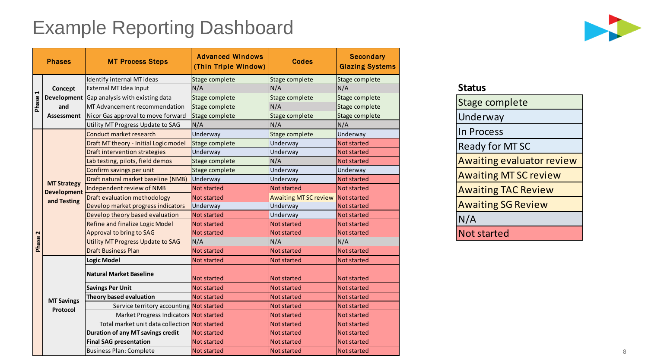### Example Reporting Dashboard



| <b>Phases</b> |                                                         | <b>MT Process Steps</b>                            | <b>Advanced Windows</b><br>(Thin Triple Window) | <b>Codes</b>                      | <b>Secondary</b><br><b>Glazing Systems</b> |
|---------------|---------------------------------------------------------|----------------------------------------------------|-------------------------------------------------|-----------------------------------|--------------------------------------------|
|               |                                                         | Identify internal MT ideas                         | Stage complete                                  | Stage complete                    | Stage complete                             |
|               | Concept                                                 | External MT Idea Input                             | N/A                                             | N/A                               | N/A                                        |
|               |                                                         | <b>Development</b> Gap analysis with existing data | Stage complete                                  | Stage complete                    | Stage complete                             |
| Phase 1       | and                                                     | MT Advancement recommendation                      | Stage complete                                  | N/A                               | Stage complete                             |
|               | <b>Assessment</b>                                       | Nicor Gas approval to move forward                 | Stage complete                                  | Stage complete                    | Stage complete                             |
|               |                                                         | Utility MT Progress Update to SAG                  | N/A                                             | N/A                               | N/A                                        |
|               |                                                         | Conduct market research                            | Underway                                        | Stage complete                    | Underway                                   |
|               |                                                         | Draft MT theory - Initial Logic model              | Stage complete                                  | Underway                          | <b>Not started</b>                         |
|               |                                                         | <b>Draft intervention strategies</b>               | Underway                                        | Underway                          | <b>Not started</b>                         |
| 2<br>Phase    |                                                         | Lab testing, pilots, field demos                   | Stage complete                                  | N/A                               | <b>Not started</b>                         |
|               |                                                         | Confirm savings per unit                           | Stage complete                                  | Underway                          | Underway                                   |
|               |                                                         | Draft natural market baseline (NMB)                | Underway                                        | Underway                          | Not started                                |
|               | <b>MT Strategy</b><br><b>Development</b><br>and Testing | Independent review of NMB                          | <b>Not started</b>                              | <b>Not started</b>                | <b>Not started</b>                         |
|               |                                                         | Draft evaluation methodology                       | <b>Not started</b>                              | Awaiting MT SC review Not started |                                            |
|               |                                                         | Develop market progress indicators                 | Underway                                        | Underway                          | <b>Not started</b>                         |
|               |                                                         | Develop theory based evaluation                    | <b>Not started</b>                              | Underway                          | Not started                                |
|               |                                                         | Refine and finalize Logic Model                    | <b>Not started</b>                              | <b>Not started</b>                | <b>Not started</b>                         |
|               |                                                         | Approval to bring to SAG                           | <b>Not started</b>                              | <b>Not started</b>                | <b>Not started</b>                         |
|               |                                                         | Utility MT Progress Update to SAG                  | N/A                                             | N/A                               | N/A                                        |
|               |                                                         | <b>Draft Business Plan</b>                         | <b>Not started</b>                              | <b>Not started</b>                | <b>Not started</b>                         |
|               |                                                         | <b>Logic Model</b>                                 | <b>Not started</b>                              | Not started                       | <b>Not started</b>                         |
|               |                                                         | <b>Natural Market Baseline</b>                     | Not started                                     | Not started                       | <b>Not started</b>                         |
|               | <b>MT Savings</b><br>Protocol                           | <b>Savings Per Unit</b>                            | <b>Not started</b>                              | <b>Not started</b>                | <b>Not started</b>                         |
|               |                                                         | Theory based evaluation                            | Not started                                     | Not started                       | <b>Not started</b>                         |
|               |                                                         | Service territory accounting Not started           |                                                 | <b>Not started</b>                | <b>Not started</b>                         |
|               |                                                         | Market Progress Indicators Not started             |                                                 | <b>Not started</b>                | Not started                                |
|               |                                                         | Total market unit data collection Not started      |                                                 | Not started                       | <b>Not started</b>                         |
|               |                                                         | Duration of any MT savings credit                  | <b>Not started</b>                              | <b>Not started</b>                | <b>Not started</b>                         |
|               |                                                         | <b>Final SAG presentation</b>                      | <b>Not started</b>                              | <b>Not started</b>                | <b>Not started</b>                         |
|               |                                                         | Business Plan: Complete                            | <b>Not started</b>                              | <b>Not started</b>                | Not started                                |

| <b>Status</b>                    |
|----------------------------------|
| Stage complete                   |
| Underway                         |
| <b>In Process</b>                |
| <b>Ready for MT SC</b>           |
| <b>Awaiting evaluator review</b> |
| <b>Awaiting MT SC review</b>     |
| <b>Awaiting TAC Review</b>       |
| <b>Awaiting SG Review</b>        |
| N/A                              |
| <b>Not started</b>               |
|                                  |